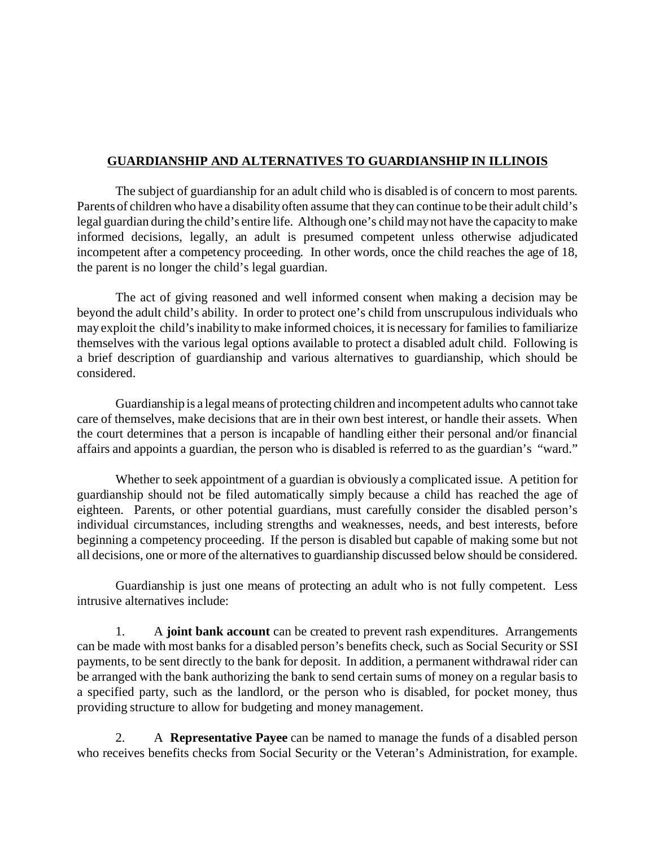## **GUARDIANSHIP AND ALTERNATIVES TO GUARDIANSHIP IN ILLINOIS**

The subject of guardianship for an adult child who is disabled is of concern to most parents. Parents of children who have a disability often assume that they can continue to be their adult child's legal guardian during the child's entire life. Although one's child may not have the capacity to make informed decisions, legally, an adult is presumed competent unless otherwise adjudicated incompetent after a competency proceeding. In other words, once the child reaches the age of 18, the parent is no longer the child's legal guardian.

The act of giving reasoned and well informed consent when making a decision may be beyond the adult child's ability. In order to protect one's child from unscrupulous individuals who may exploit the child's inability to make informed choices, it is necessary for families to familiarize themselves with the various legal options available to protect a disabled adult child. Following is a brief description of guardianship and various alternatives to guardianship, which should be considered.

Guardianship is a legal means of protecting children and incompetent adults who cannot take care of themselves, make decisions that are in their own best interest, or handle their assets. When the court determines that a person is incapable of handling either their personal and/or financial affairs and appoints a guardian, the person who is disabled is referred to as the guardian's "ward."

Whether to seek appointment of a guardian is obviously a complicated issue. A petition for guardianship should not be filed automatically simply because a child has reached the age of eighteen. Parents, or other potential guardians, must carefully consider the disabled person's individual circumstances, including strengths and weaknesses, needs, and best interests, before beginning a competency proceeding. If the person is disabled but capable of making some but not all decisions, one or more of the alternatives to guardianship discussed below should be considered.

Guardianship is just one means of protecting an adult who is not fully competent. Less intrusive alternatives include:

1. A **joint bank account** can be created to prevent rash expenditures. Arrangements can be made with most banks for a disabled person's benefits check, such as Social Security or SSI payments, to be sent directly to the bank for deposit. In addition, a permanent withdrawal rider can be arranged with the bank authorizing the bank to send certain sums of money on a regular basis to a specified party, such as the landlord, or the person who is disabled, for pocket money, thus providing structure to allow for budgeting and money management.

2. A **Representative Payee** can be named to manage the funds of a disabled person who receives benefits checks from Social Security or the Veteran's Administration, for example.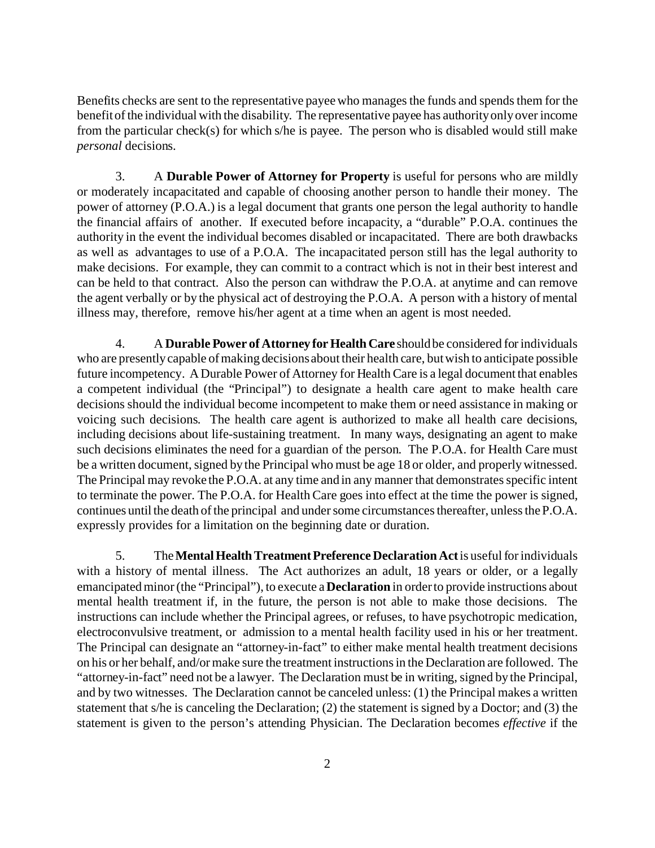Benefits checks are sent to the representative payee who manages the funds and spends them for the benefit of the individual with the disability. The representative payee has authority only over income from the particular check(s) for which s/he is payee. The person who is disabled would still make *personal* decisions.

3. A **Durable Power of Attorney for Property** is useful for persons who are mildly or moderately incapacitated and capable of choosing another person to handle their money. The power of attorney (P.O.A.) is a legal document that grants one person the legal authority to handle the financial affairs of another. If executed before incapacity, a "durable" P.O.A. continues the authority in the event the individual becomes disabled or incapacitated. There are both drawbacks as well as advantages to use of a P.O.A. The incapacitated person still has the legal authority to make decisions. For example, they can commit to a contract which is not in their best interest and can be held to that contract. Also the person can withdraw the P.O.A. at anytime and can remove the agent verbally or by the physical act of destroying the P.O.A. A person with a history of mental illness may, therefore, remove his/her agent at a time when an agent is most needed.

4. A **Durable Power of Attorney forHealthCare** should be considered for individuals who are presently capable of making decisions about their health care, but wish to anticipate possible future incompetency. A Durable Power of Attorney for Health Care is a legal document that enables a competent individual (the "Principal") to designate a health care agent to make health care decisions should the individual become incompetent to make them or need assistance in making or voicing such decisions. The health care agent is authorized to make all health care decisions, including decisions about life-sustaining treatment. In many ways, designating an agent to make such decisions eliminates the need for a guardian of the person. The P.O.A. for Health Care must be a written document, signed by the Principal who must be age 18 or older, and properly witnessed. The Principal may revoke the P.O.A. at any time and in any manner that demonstrates specific intent to terminate the power. The P.O.A. for Health Care goes into effect at the time the power is signed, continues until the death of the principal and under some circumstances thereafter, unless the P.O.A. expressly provides for a limitation on the beginning date or duration.

5. The**MentalHealthTreatmentPreference Declaration Act** is useful for individuals with a history of mental illness. The Act authorizes an adult, 18 years or older, or a legally emancipated minor (the "Principal"), to execute a **Declaration** in order to provide instructions about mental health treatment if, in the future, the person is not able to make those decisions. The instructions can include whether the Principal agrees, or refuses, to have psychotropic medication, electroconvulsive treatment, or admission to a mental health facility used in his or her treatment. The Principal can designate an "attorney-in-fact" to either make mental health treatment decisions on his or her behalf, and/or make sure the treatment instructions in the Declaration are followed. The "attorney-in-fact" need not be a lawyer. The Declaration must be in writing, signed by the Principal, and by two witnesses. The Declaration cannot be canceled unless: (1) the Principal makes a written statement that s/he is canceling the Declaration; (2) the statement is signed by a Doctor; and (3) the statement is given to the person's attending Physician. The Declaration becomes *effective* if the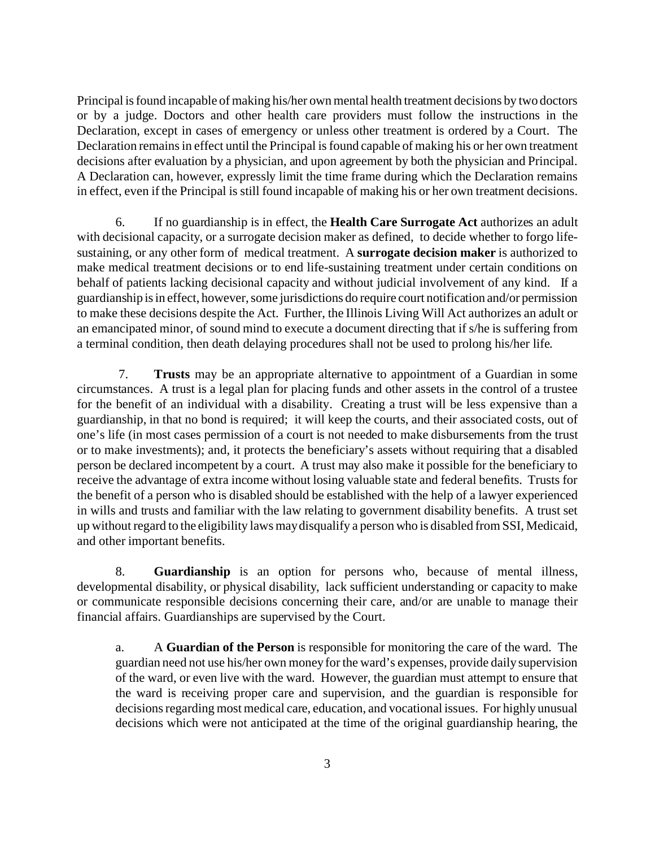Principal is found incapable of making his/her own mental health treatment decisions by two doctors or by a judge. Doctors and other health care providers must follow the instructions in the Declaration, except in cases of emergency or unless other treatment is ordered by a Court. The Declaration remains in effect until the Principal is found capable of making his or her own treatment decisions after evaluation by a physician, and upon agreement by both the physician and Principal. A Declaration can, however, expressly limit the time frame during which the Declaration remains in effect, even if the Principal is still found incapable of making his or her own treatment decisions.

6. If no guardianship is in effect, the **Health Care Surrogate Act** authorizes an adult with decisional capacity, or a surrogate decision maker as defined, to decide whether to forgo lifesustaining, or any other form of medical treatment. A **surrogate decision maker** is authorized to make medical treatment decisions or to end life-sustaining treatment under certain conditions on behalf of patients lacking decisional capacity and without judicial involvement of any kind. If a guardianship is in effect, however, some jurisdictions do require court notification and/or permission to make these decisions despite the Act. Further, the Illinois Living Will Act authorizes an adult or an emancipated minor, of sound mind to execute a document directing that if s/he is suffering from a terminal condition, then death delaying procedures shall not be used to prolong his/her life.

 7. **Trusts** may be an appropriate alternative to appointment of a Guardian in some circumstances. A trust is a legal plan for placing funds and other assets in the control of a trustee for the benefit of an individual with a disability. Creating a trust will be less expensive than a guardianship, in that no bond is required; it will keep the courts, and their associated costs, out of one's life (in most cases permission of a court is not needed to make disbursements from the trust or to make investments); and, it protects the beneficiary's assets without requiring that a disabled person be declared incompetent by a court. A trust may also make it possible for the beneficiary to receive the advantage of extra income without losing valuable state and federal benefits. Trusts for the benefit of a person who is disabled should be established with the help of a lawyer experienced in wills and trusts and familiar with the law relating to government disability benefits. A trust set up without regard to the eligibility laws may disqualify a person who is disabled from SSI, Medicaid, and other important benefits.

8. **Guardianship** is an option for persons who, because of mental illness, developmental disability, or physical disability, lack sufficient understanding or capacity to make or communicate responsible decisions concerning their care, and/or are unable to manage their financial affairs. Guardianships are supervised by the Court.

a. A **Guardian of the Person** is responsible for monitoring the care of the ward. The guardian need not use his/her own money for the ward's expenses, provide daily supervision of the ward, or even live with the ward. However, the guardian must attempt to ensure that the ward is receiving proper care and supervision, and the guardian is responsible for decisions regarding most medical care, education, and vocational issues. For highly unusual decisions which were not anticipated at the time of the original guardianship hearing, the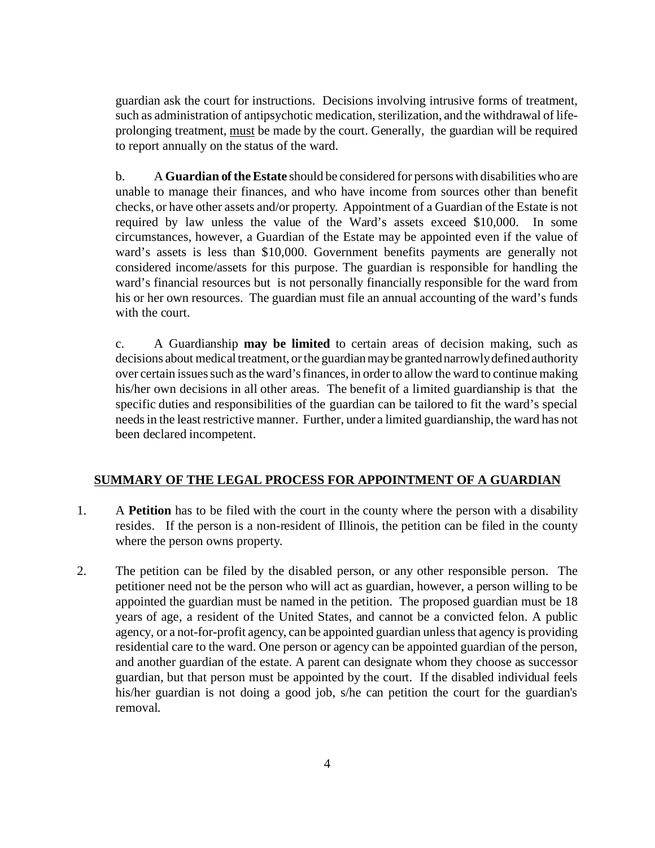guardian ask the court for instructions. Decisions involving intrusive forms of treatment, such as administration of antipsychotic medication, sterilization, and the withdrawal of lifeprolonging treatment, must be made by the court. Generally, the guardian will be required to report annually on the status of the ward.

b. A **Guardian of the Estate** should be considered for persons with disabilities who are unable to manage their finances, and who have income from sources other than benefit checks, or have other assets and/or property. Appointment of a Guardian of the Estate is not required by law unless the value of the Ward's assets exceed \$10,000. In some circumstances, however, a Guardian of the Estate may be appointed even if the value of ward's assets is less than \$10,000. Government benefits payments are generally not considered income/assets for this purpose. The guardian is responsible for handling the ward's financial resources but is not personally financially responsible for the ward from his or her own resources. The guardian must file an annual accounting of the ward's funds with the court.

c. A Guardianship **may be limited** to certain areas of decision making, such as decisions about medical treatment, or the guardian may be granted narrowly defined authority over certain issues such as the ward's finances, in order to allow the ward to continue making his/her own decisions in all other areas. The benefit of a limited guardianship is that the specific duties and responsibilities of the guardian can be tailored to fit the ward's special needs in the least restrictive manner. Further, under a limited guardianship, the ward has not been declared incompetent.

## **SUMMARY OF THE LEGAL PROCESS FOR APPOINTMENT OF A GUARDIAN**

- 1. A **Petition** has to be filed with the court in the county where the person with a disability resides. If the person is a non-resident of Illinois, the petition can be filed in the county where the person owns property.
- 2. The petition can be filed by the disabled person, or any other responsible person. The petitioner need not be the person who will act as guardian, however, a person willing to be appointed the guardian must be named in the petition. The proposed guardian must be 18 years of age, a resident of the United States, and cannot be a convicted felon. A public agency, or a not-for-profit agency, can be appointed guardian unless that agency is providing residential care to the ward. One person or agency can be appointed guardian of the person, and another guardian of the estate. A parent can designate whom they choose as successor guardian, but that person must be appointed by the court. If the disabled individual feels his/her guardian is not doing a good job, s/he can petition the court for the guardian's removal.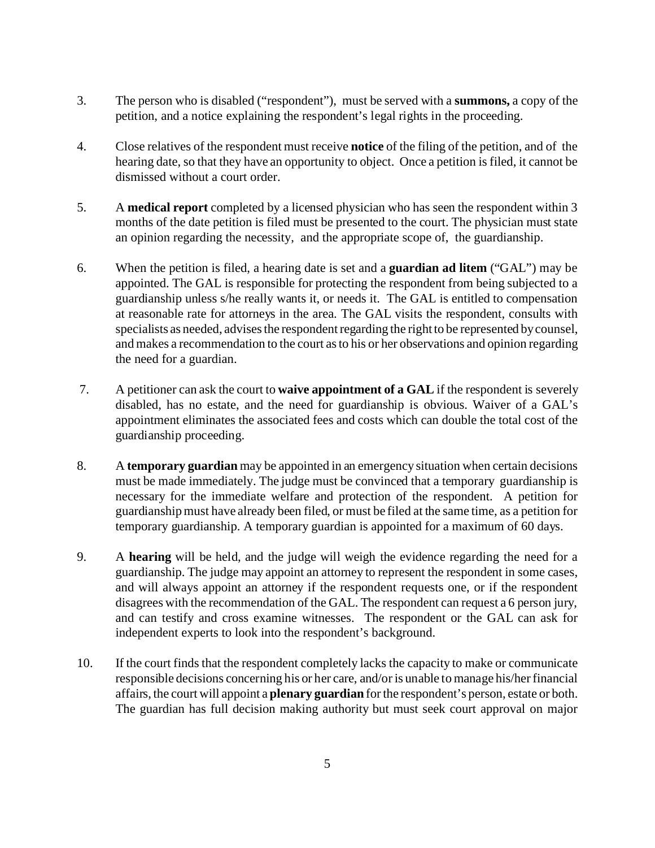- 3. The person who is disabled ("respondent"), must be served with a **summons,** a copy of the petition, and a notice explaining the respondent's legal rights in the proceeding.
- 4. Close relatives of the respondent must receive **notice** of the filing of the petition, and of the hearing date, so that they have an opportunity to object. Once a petition is filed, it cannot be dismissed without a court order.
- 5. A **medical report** completed by a licensed physician who has seen the respondent within 3 months of the date petition is filed must be presented to the court. The physician must state an opinion regarding the necessity, and the appropriate scope of, the guardianship.
- 6. When the petition is filed, a hearing date is set and a **guardian ad litem** ("GAL") may be appointed. The GAL is responsible for protecting the respondent from being subjected to a guardianship unless s/he really wants it, or needs it. The GAL is entitled to compensation at reasonable rate for attorneys in the area. The GAL visits the respondent, consults with specialists as needed, advises the respondent regarding the right to be represented by counsel, and makes a recommendation to the court as to his or her observations and opinion regarding the need for a guardian.
- 7. A petitioner can ask the court to **waive appointment of a GAL** if the respondent is severely disabled, has no estate, and the need for guardianship is obvious. Waiver of a GAL's appointment eliminates the associated fees and costs which can double the total cost of the guardianship proceeding.
- 8. A **temporary guardian** may be appointed in an emergency situation when certain decisions must be made immediately. The judge must be convinced that a temporary guardianship is necessary for the immediate welfare and protection of the respondent. A petition for guardianship must have already been filed, or must be filed at the same time, as a petition for temporary guardianship. A temporary guardian is appointed for a maximum of 60 days.
- 9. A **hearing** will be held, and the judge will weigh the evidence regarding the need for a guardianship. The judge may appoint an attorney to represent the respondent in some cases, and will always appoint an attorney if the respondent requests one, or if the respondent disagrees with the recommendation of the GAL. The respondent can request a 6 person jury, and can testify and cross examine witnesses. The respondent or the GAL can ask for independent experts to look into the respondent's background.
- 10. If the court finds that the respondent completely lacks the capacity to make or communicate responsible decisions concerning his or her care, and/or is unable to manage his/her financial affairs, the court will appoint a **plenary guardian** for the respondent's person, estate or both. The guardian has full decision making authority but must seek court approval on major